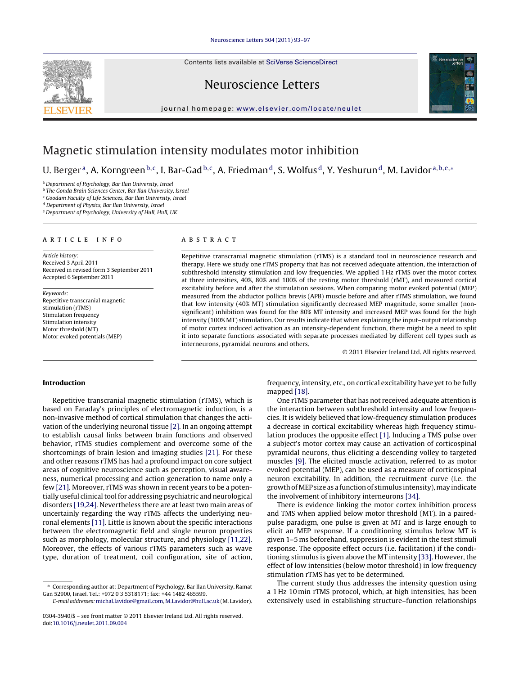Contents lists available at SciVerse [ScienceDirect](http://www.sciencedirect.com/science/journal/03043940)



jour nal homepage: [www.elsevier.com/locate/neulet](http://www.elsevier.com/locate/neulet)

Neuroscience Letters

# Magnetic stimulation intensity modulates motor inhibition

U. Berger<sup>a</sup>, A. Korngreen<sup>b,c</sup>, I. Bar-Gad<sup>b,c</sup>, A. Friedman<sup>d</sup>, S. Wolfus<sup>d</sup>, Y. Yeshurun<sup>d</sup>, M. Lavidor<sup>a,b,e,\*</sup>

<sup>a</sup> Department of Psychology, Bar Ilan University, Israel

**b** The Gonda Brain Sciences Center, Bar Ilan University, Israel

<sup>c</sup> Goodam Faculty of Life Sciences, Bar Ilan University, Israel

<sup>d</sup> Department of Physics, Bar Ilan University, Israel

<sup>e</sup> Department of Psychology, University of Hull, Hull, UK

#### A R T I C L E I N F O

Article history: Received 3 April 2011 Received in revised form 3 September 2011 Accepted 6 September 2011

Keywords: Repetitive transcranial magnetic stimulation (rTMS) Stimulation frequency Stimulation intensity Motor threshold (MT) Motor evoked potentials (MEP)

#### A B S T R A C T

Repetitive transcranial magnetic stimulation (rTMS) is a standard tool in neuroscience research and therapy. Here we study one rTMS property that has not received adequate attention, the interaction of subthreshold intensity stimulation and low frequencies. We applied 1 Hz rTMS over the motor cortex at three intensities, 40%, 80% and 100% of the resting motor threshold (rMT), and measured cortical excitability before and after the stimulation sessions. When comparing motor evoked potential (MEP) measured from the abductor pollicis brevis (APB) muscle before and after rTMS stimulation, we found that low intensity (40% MT) stimulation significantly decreased MEP magnitude, some smaller (nonsignificant) inhibition was found for the 80% MT intensity and increased MEP was found for the high intensity (100% MT) stimulation. Our results indicate that when explaining the input–output relationship of motor cortex induced activation as an intensity-dependent function, there might be a need to split it into separate functions associated with separate processes mediated by different cell types such as interneurons, pyramidal neurons and others.

© 2011 Elsevier Ireland Ltd. All rights reserved.

#### **Introduction**

Repetitive transcranial magnetic stimulation (rTMS), which is based on Faraday's principles of electromagnetic induction, is a non-invasive method of cortical stimulation that changes the activation of the underlying neuronal tissue [\[2\].](#page-3-0) In an ongoing attempt to establish causal links between brain functions and observed behavior, rTMS studies complement and overcome some of the shortcomings of brain lesion and imaging studies [\[21\].](#page-3-0) For these and other reasons rTMS has had a profound impact on core subject areas of cognitive neuroscience such as perception, visual awareness, numerical processing and action generation to name only a few [\[21\].](#page-3-0) Moreover, rTMS was shown in recent years to be a potentially useful clinical tool for addressing psychiatric and neurological disorders [\[19,24\].](#page-3-0) Nevertheless there are at least two main areas of uncertainly regarding the way rTMS affects the underlying neuronal elements [\[11\].](#page-3-0) Little is known about the specific interactions between the electromagnetic field and single neuron properties such as morphology, molecular structure, and physiology [\[11,22\].](#page-3-0) Moreover, the effects of various rTMS parameters such as wave type, duration of treatment, coil configuration, site of action,

frequency, intensity, etc., on cortical excitability have yet to be fully mapped [\[18\].](#page-3-0)

One rTMS parameter that has not received adequate attention is the interaction between subthreshold intensity and low frequencies. It is widely believed that low-frequency stimulation produces a decrease in cortical excitability whereas high frequency stimulation produces the opposite effect [\[1\].](#page-3-0) Inducing a TMS pulse over a subject's motor cortex may cause an activation of corticospinal pyramidal neurons, thus eliciting a descending volley to targeted muscles [\[9\].](#page-3-0) The elicited muscle activation, referred to as motor evoked potential (MEP), can be used as a measure of corticospinal neuron excitability. In addition, the recruitment curve (i.e. the growth of MEP size as a function of stimulus intensity), may indicate the involvement of inhibitory interneurons [\[34\].](#page-4-0)

There is evidence linking the motor cortex inhibition process and TMS when applied below motor threshold (MT). In a pairedpulse paradigm, one pulse is given at MT and is large enough to elicit an MEP response. If a conditioning stimulus below MT is given 1–5 ms beforehand, suppression is evident in the test stimuli response. The opposite effect occurs (i.e. facilitation) if the conditioning stimulus is given above the MT intensity [\[33\].](#page-4-0) However, the effect of low intensities (below motor threshold) in low frequency stimulation rTMS has yet to be determined.

The current study thus addresses the intensity question using a 1 Hz 10 min rTMS protocol, which, at high intensities, has been extensively used in establishing structure–function relationships

<sup>∗</sup> Corresponding author at: Department of Psychology, Bar Ilan University, Ramat Gan 52900, Israel. Tel.: +972 0 3 5318171; fax: +44 1482 465599.

E-mail addresses: [michal.lavidor@gmail.com](mailto:michal.lavidor@gmail.com), [M.Lavidor@hull.ac.uk](mailto:M.Lavidor@hull.ac.uk) (M. Lavidor).

<sup>0304-3940/\$</sup> – see front matter © 2011 Elsevier Ireland Ltd. All rights reserved. doi:[10.1016/j.neulet.2011.09.004](dx.doi.org/10.1016/j.neulet.2011.09.004)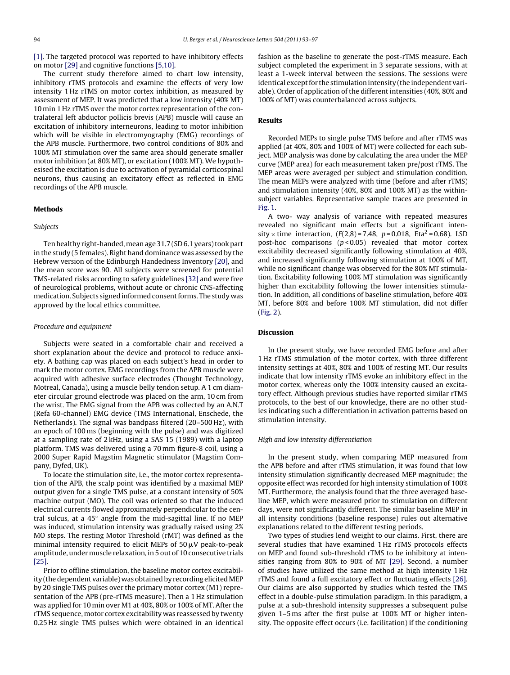[\[1\].](#page-3-0) The targeted protocol was reported to have inhibitory effects on motor [\[29\]](#page-4-0) and cognitive functions [\[5,10\].](#page-3-0)

The current study therefore aimed to chart low intensity, inhibitory rTMS protocols and examine the effects of very low intensity 1 Hz rTMS on motor cortex inhibition, as measured by assessment of MEP. It was predicted that a low intensity (40% MT) 10 min 1 Hz rTMS over the motor cortex representation of the contralateral left abductor pollicis brevis (APB) muscle will cause an excitation of inhibitory interneurons, leading to motor inhibition which will be visible in electromyography (EMG) recordings of the APB muscle. Furthermore, two control conditions of 80% and 100% MT stimulation over the same area should generate smaller motor inhibition (at 80% MT), or excitation (100% MT). We hypothesised the excitation is due to activation of pyramidal corticospinal neurons, thus causing an excitatory effect as reflected in EMG recordings of the APB muscle.

# **Methods**

## Subjects

Ten healthy right-handed, mean age 31.7 (SD 6.1 years) took part in the study (5 females). Right hand dominance was assessed by the Hebrew version of the Edinburgh Handedness Inventory [\[20\],](#page-3-0) and the mean score was 90. All subjects were screened for potential TMS-related risks according to safety guidelines [\[32\]](#page-4-0) and were free of neurological problems, without acute or chronic CNS-affecting medication. Subjects signed informed consent forms. The study was approved by the local ethics committee.

#### Procedure and equipment

Subjects were seated in a comfortable chair and received a short explanation about the device and protocol to reduce anxiety. A bathing cap was placed on each subject's head in order to mark the motor cortex. EMG recordings from the APB muscle were acquired with adhesive surface electrodes (Thought Technology, Motreal, Canada), using a muscle belly tendon setup. A 1 cm diameter circular ground electrode was placed on the arm, 10 cm from the wrist. The EMG signal from the APB was collected by an A.N.T (Refa 60-channel) EMG device (TMS International, Enschede, the Netherlands). The signal was bandpass filtered (20–500 Hz), with an epoch of 100 ms (beginning with the pulse) and was digitized at a sampling rate of 2 kHz, using a SAS 15 (1989) with a laptop platform. TMS was delivered using a 70 mm figure-8 coil, using a 2000 Super Rapid Magstim Magnetic stimulator (Magstim Company, Dyfed, UK).

To locate the stimulation site, i.e., the motor cortex representation of the APB, the scalp point was identified by a maximal MEP output given for a single TMS pulse, at a constant intensity of 50% machine output (MO). The coil was oriented so that the induced electrical currents flowed approximately perpendicular to the central sulcus, at a 45◦ angle from the mid-sagittal line. If no MEP was induced, stimulation intensity was gradually raised using 2% MO steps. The resting Motor Threshold (rMT) was defined as the minimal intensity required to elicit MEPs of 50  $\mu$ V peak-to-peak amplitude, under muscle relaxation, in 5 out of 10 consecutive trials [\[25\].](#page-3-0)

Prior to offline stimulation, the baseline motor cortex excitability (the dependent variable) was obtained by recording elicited MEP by 20 single TMS pulses over the primary motor cortex (M1) representation of the APB (pre-rTMS measure). Then a 1 Hz stimulation was applied for 10 min over M1 at 40%, 80% or 100% of MT. After the rTMS sequence, motor cortex excitability was reassessed by twenty 0.25 Hz single TMS pulses which were obtained in an identical fashion as the baseline to generate the post-rTMS measure. Each subject completed the experiment in 3 separate sessions, with at least a 1-week interval between the sessions. The sessions were identical except for the stimulation intensity (the independent variable). Order of application of the different intensities (40%, 80% and 100% of MT) was counterbalanced across subjects.

# **Results**

Recorded MEPs to single pulse TMS before and after rTMS was applied (at 40%, 80% and 100% of MT) were collected for each subject. MEP analysis was done by calculating the area under the MEP curve (MEP area) for each measurement taken pre/post rTMS. The MEP areas were averaged per subject and stimulation condition. The mean MEPs were analyzed with time (before and after rTMS) and stimulation intensity (40%, 80% and 100% MT) as the withinsubject variables. Representative sample traces are presented in [Fig.](#page-2-0) 1.

A two- way analysis of variance with repeated measures revealed no significant main effects but a significant intensity  $\times$  time interaction,  $(F(2,8) = 7.48, p = 0.018, Eta<sup>2</sup> = 0.68)$ . LSD post-hoc comparisons  $(p < 0.05)$  revealed that motor cortex excitability decreased significantly following stimulation at 40%, and increased significantly following stimulation at 100% of MT, while no significant change was observed for the 80% MT stimulation. Excitability following 100% MT stimulation was significantly higher than excitability following the lower intensities stimulation. In addition, all conditions of baseline stimulation, before 40% MT, before 80% and before 100% MT stimulation, did not differ [\(Fig.](#page-2-0) 2).

#### **Discussion**

In the present study, we have recorded EMG before and after 1 Hz rTMS stimulation of the motor cortex, with three different intensity settings at 40%, 80% and 100% of resting MT. Our results indicate that low intensity rTMS evoke an inhibitory effect in the motor cortex, whereas only the 100% intensity caused an excitatory effect. Although previous studies have reported similar rTMS protocols, to the best of our knowledge, there are no other studies indicating such a differentiation in activation patterns based on stimulation intensity.

# High and low intensity differentiation

In the present study, when comparing MEP measured from the APB before and after rTMS stimulation, it was found that low intensity stimulation significantly decreased MEP magnitude; the opposite effect was recorded for high intensity stimulation of 100% MT. Furthermore, the analysis found that the three averaged baseline MEP, which were measured prior to stimulation on different days, were not significantly different. The similar baseline MEP in all intensity conditions (baseline response) rules out alternative explanations related to the different testing periods.

Two types of studies lend weight to our claims. First, there are several studies that have examined 1 Hz rTMS protocols effects on MEP and found sub-threshold rTMS to be inhibitory at intensities ranging from 80% to 90% of MT [\[29\].](#page-4-0) Second, a number of studies have utilized the same method at high intensity 1 Hz rTMS and found a full excitatory effect or fluctuating effects [\[26\].](#page-3-0) Our claims are also supported by studies which tested the TMS effect in a double-pulse stimulation paradigm. In this paradigm, a pulse at a sub-threshold intensity suppresses a subsequent pulse given 1–5 ms after the first pulse at 100% MT or higher intensity. The opposite effect occurs (i.e. facilitation) if the conditioning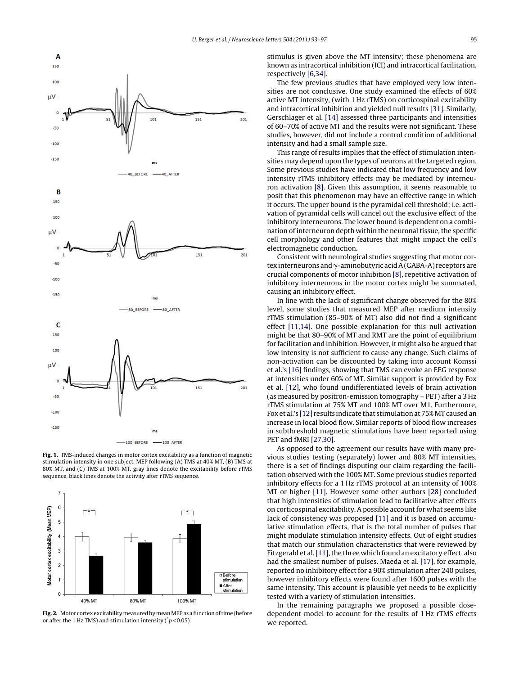<span id="page-2-0"></span>

**Fig. 1.** TMS-induced changes in motor cortex excitability as a function of magnetic stimulation intensity in one subject. MEP following (A) TMS at 40% MT, (B) TMS at 80% MT, and (C) TMS at 100% MT, gray lines denote the excitability before rTMS sequence, black lines denote the activity after rTMS sequence.



**Fig. 2.** Motor cortex excitabilitymeasured bymeanMEP as a function oftime (before or after the 1 Hz TMS) and stimulation intensity ( $p$  < 0.05).

stimulus is given above the MT intensity; these phenomena are known as intracortical inhibition (ICI) and intracortical facilitation, respectively [\[6,34\].](#page-3-0)

The few previous studies that have employed very low intensities are not conclusive. One study examined the effects of 60% active MT intensity, (with 1 Hz rTMS) on corticospinal excitability and intracortical inhibition and yielded null results [\[31\].](#page-4-0) Similarly, Gerschlager et al. [\[14\]](#page-3-0) assessed three participants and intensities of 60–70% of active MT and the results were not significant. These studies, however, did not include a control condition of additional intensity and had a small sample size.

This range of results implies that the effect of stimulation intensities may depend upon the types of neurons at the targeted region. Some previous studies have indicated that low frequency and low intensity rTMS inhibitory effects may be mediated by interneuron activation [\[8\].](#page-3-0) Given this assumption, it seems reasonable to posit that this phenomenon may have an effective range in which it occurs. The upper bound is the pyramidal cell threshold; i.e. activation of pyramidal cells will cancel out the exclusive effect of the inhibitory interneurons. The lower bound is dependent on a combination of interneuron depth within the neuronal tissue, the specific cell morphology and other features that might impact the cell's electromagnetic conduction.

Consistent with neurological studies suggesting that motor cortex interneurons and  $\gamma$ -aminobutyric acid A(GABA-A) receptors are crucial components of motor inhibition [\[8\],](#page-3-0) repetitive activation of inhibitory interneurons in the motor cortex might be summated, causing an inhibitory effect.

In line with the lack of significant change observed for the 80% level, some studies that measured MEP after medium intensity rTMS stimulation (85–90% of MT) also did not find a significant effect [\[11,14\].](#page-3-0) One possible explanation for this null activation might be that 80–90% of MT and RMT are the point of equilibrium for facilitation and inhibition. However, it might also be argued that low intensity is not sufficient to cause any change. Such claims of non-activation can be discounted by taking into account Komssi et al.'s [\[16\]](#page-3-0) findings, showing that TMS can evoke an EEG response at intensities under 60% of MT. Similar support is provided by Fox et al. [\[12\],](#page-3-0) who found undifferentiated levels of brain activation (as measured by positron-emission tomography – PET) after a 3 Hz rTMS stimulation at 75% MT and 100% MT over M1. Furthermore, Fox et al.'s [\[12\]](#page-3-0) results indicate that stimulationat 75%MT causedan increase in local blood flow. Similar reports of blood flow increases in subthreshold magnetic stimulations have been reported using PET and fMRI [\[27,30\].](#page-3-0)

As opposed to the agreement our results have with many previous studies testing (separately) lower and 80% MT intensities, there is a set of findings disputing our claim regarding the facilitation observed with the 100% MT. Some previous studies reported inhibitory effects for a 1 Hz rTMS protocol at an intensity of 100% MT or higher [\[11\].](#page-3-0) However some other authors [\[28\]](#page-3-0) concluded that high intensities of stimulation lead to facilitative after effects on corticospinal excitability. A possible account for what seems like lack of consistency was proposed [\[11\]](#page-3-0) and it is based on accumulative stimulation effects, that is the total number of pulses that might modulate stimulation intensity effects. Out of eight studies that match our stimulation characteristics that were reviewed by Fitzgerald et al. [11], the three which found an excitatory effect, also had the smallest number of pulses. Maeda et al. [\[17\],](#page-3-0) for example, reported no inhibitory effect for a 90% stimulation after 240 pulses, however inhibitory effects were found after 1600 pulses with the same intensity. This account is plausible yet needs to be explicitly tested with a variety of stimulation intensities.

In the remaining paragraphs we proposed a possible dosedependent model to account for the results of 1 Hz rTMS effects we reported.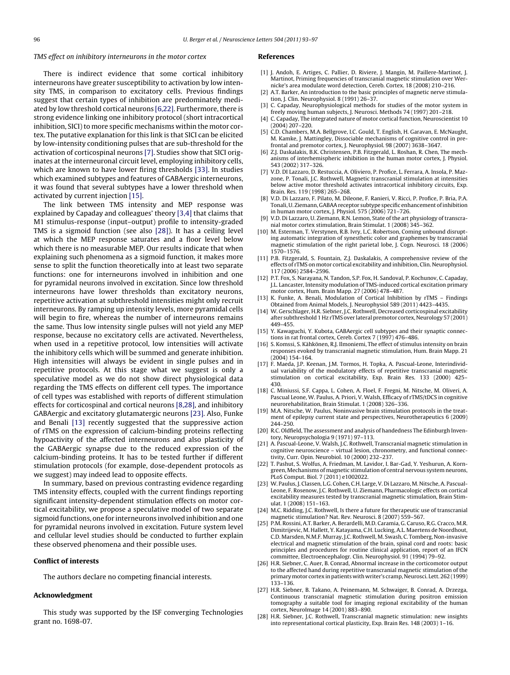#### <span id="page-3-0"></span>TMS effect on inhibitory interneurons in the motor cortex

**References**

- There is indirect evidence that some cortical inhibitory interneurons have greater susceptibility to activation by low intensity TMS, in comparison to excitatory cells. Previous findings suggest that certain types of inhibition are predominately mediated by low threshold cortical neurons [6,22]. Furthermore, there is strong evidence linking one inhibitory protocol (short intracortical inhibition, SICI) to more specific mechanisms within the motor cortex. The putative explanation for this link is that SICI can be elicited by low-intensity conditioning pulses that are sub-threshold for the activation of corticospinal neurons [7]. Studies show that SICI originates at the interneuronal circuit level, employing inhibitory cells, which are known to have lower firing thresholds [\[33\].](#page-4-0) In studies which examined subtypes and features of GABAergic interneurons, it was found that several subtypes have a lower threshold when activated by current injection [15].
- The link between TMS intensity and MEP response was explained by Capaday and colleagues' theory [3,4] that claims that M1 stimulus-response (input–output) profile to intensity-graded TMS is a sigmoid function (see also [28]). It has a ceiling level at which the MEP response saturates and a floor level below which there is no measurable MEP. Our results indicate that when explaining such phenomena as a sigmoid function, it makes more sense to split the function theoretically into at least two separate functions: one for interneurons involved in inhibition and one for pyramidal neurons involved in excitation. Since low threshold interneurons have lower thresholds than excitatory neurons, repetitive activation at subthreshold intensities might only recruit interneurons. By ramping up intensity levels, more pyramidal cells will begin to fire, whereas the number of interneurons remains the same. Thus low intensity single pulses will not yield any MEP response, because no excitatory cells are activated. Nevertheless, when used in a repetitive protocol, low intensities will activate the inhibitory cells which will be summed and generate inhibition. High intensities will always be evident in single pulses and in repetitive protocols. At this stage what we suggest is only a speculative model as we do not show direct physiological data regarding the TMS effects on different cell types. The importance of cell types was established with reports of different stimulation effects for corticospinal and cortical neurons [8,28], and inhibitory GABAergic and excitatory glutamatergic neurons [23]. Also, Funke and Benali [13] recently suggested that the suppressive action of rTMS on the expression of calcium-binding proteins reflecting hypoactivity of the affected interneurons and also plasticity of the GABAergic synapse due to the reduced expression of the calcium-binding proteins. It has to be tested further if different stimulation protocols (for example, dose-dependent protocols as we suggest) may indeed lead to opposite effects.

In summary, based on previous contrasting evidence regarding TMS intensity effects, coupled with the current findings reporting significant intensity-dependent stimulation effects on motor cortical excitability, we propose a speculative model of two separate sigmoid functions, one for interneurons involved inhibition and one for pyramidal neurons involved in excitation. Future system level and cellular level studies should be conducted to further explain these observed phenomena and their possible uses.

#### **Conflict of interests**

The authors declare no competing financial interests.

## **Acknowledgment**

This study was supported by the ISF converging Technologies grant no. 1698-07.

- [1] J. Andoh, E. Artiges, C. Pallier, D. Riviere, J. Mangin, M. Paillere-Martinot, J. Martinot, Priming frequencies of transcranial magnetic stimulation over Wernicke's area modulate word detection, Cereb. Cortex. 18 (2008) 210–216.
- [2] A.T. Barker, An introduction to the basic principles of magnetic nerve stimulation, J. Clin. Neurophysiol. 8 (1991) 26–37.
- [3] C. Capaday, Neurophysiological methods for studies of the motor system in freely moving human subjects, J. Neurosci. Methods 74 (1997) 201–218.
- [4] C. Capaday, The integrated nature of motor cortical function, Neuroscientist 10 (2004) 207–220.
- [5] C.D. Chambers, M.A. Bellgrove, I.C. Gould, T. English, H. Garavan, E. McNaught, M. Kamke, J. Mattingley, Dissociable mechanisms of cognitive control in prefrontal and premotor cortex, J. Neurophysiol. 98 (2007) 3638–3647.
- [6] Z.J. Daskalakis, B.K. Christensen, P.B. Fitzgerald, L. Roshan, R. Chen, The mechanisms of interhemispheric inhibition in the human motor cortex, J. Physiol. 543 (2002) 317–326.
- [7] V.D. DI Lazzaro, D. Restuccia, A. Oliviero, P. Profice, L. Ferrara, A. Insola, P. Mazzone, P. Tonali, J.C. Rothwell, Magnetic transcranial stimulation at intensities below active motor threshold activates intracortical inhibitory circuits, Exp. Brain. Res. 119 (1998) 265–268.
- [8] V.D. Di Lazzaro, F. Pilato, M. Dileone, F. Ranieri, V. Ricci, P. Profice, P. Bria, P.A. Tonali, U. Ziemann, GABAAreceptor subtype specific enhancement ofinhibition in human motor cortex, J. Physiol. 575 (2006) 721–726.
- V.D. Di Lazzaro, U. Ziemann, R.N. Lemon, State of the art physiology of transcranial motor cortex stimulation, Brain Stimulat. 1 (2008) 345–362.
- [10] M. Esterman, T. Verstynen, R.B. Ivry, L.C. Robertson, Coming unbound disrupting automatic integration of synesthetic color and graphemes by transcranial magnetic stimulation of the right parietal lobe, J. Cogn. Neurosci. 18 (2006) 1570–1576.
- [11] P.B. Fitzgerald, S. Fountain, Z.J. Daskalakis, A comprehensive review of the effects of rTMS on motor cortical excitability and inhibition, Clin. Neurophysiol. 117 (2006) 2584–2596.
- [12] P.T. Fox, S. Narayana, N. Tandon, S.P. Fox, H. Sandoval, P. Kochunov, C. Capaday, J.L. Lancaster, Intensity modulation of TMS-induced cortical excitation primary motor cortex, Hum. Brain Mapp. 27 (2006) 478–487.
- [13] K. Funke, A. Benali, Modulation of Cortical Inhibition by rTMS Findings Obtained from Animal Models, J. Neurophysiol 589 (2011) 4423–4435.
- [14] W. Gerschlager, H.R. Siebner, J.C. Rothwell, Decreased corticospinal excitability after subthreshold 1 Hz rTMS over lateral premotor cortex, Neurology 57 (2001) 449–455.
- [15] Y. Kawaguchi, Y. Kubota, GABAergic cell subtypes and their synaptic connections in rat frontal cortex, Cereb. Cortex 7 (1997) 476–486.
- [16] S. Komssi, S. Kähkönen, R.J. Ilmoniemi, The effect of stimulus intensity on brain responses evoked by transcranial magnetic stimulation, Hum. Brain Mapp. 21 (2004) 154–164.
- [17] F. Maeda, J.P. Keenan, J.M. Tormos, H. Topka, A. Pascual-Leone, Interindividual variability of the modulatory effects of repetitive transcranial magnetic stimulation on cortical excitability, Exp. Brain Res. 133 (2000) 425– 430.
- [18] C. Miniussi, S.F. Cappa, L. Cohen, A. Floel, F. Fregni, M. Nitsche, M. Oliveri, A. Pascual Leone, W. Paulus, A. Priori, V. Walsh, Efficacy of rTMS/tDCS in cognitive neurorehabilitation, Brain Stimulat. 1 (2008) 326–336.
- [19] M.A. Nitsche, W. Paulus, Noninvasive brain stimulation protocols in the treatment of epilepsy current state and perspectives, Neurotherapeutics 6 (2009) 244–250.
- [20] R.C. Oldfield, The assessment and analysis of handedness The Edinburgh Inventory, Neuropsychologia 9 (1971) 97–113.
- [21] A. Pascual-Leone, V. Walsh, J.C. Rothwell, Transcranial magnetic stimulation in cognitive neuroscience – virtual lesion, chronometry, and functional connectivity, Curr. Opin. Neurobiol. 10 (2000) 232–237.
- [22] T. Pashut, S. Wolfus, A. Friedman, M. Lavidor, I. Bar-Gad, Y. Yeshurun, A. Korngreen, Mechanisms of magnetic stimulation of central nervous system neurons, PLoS Comput. Biol. 7 (2011) e1002022.
- [23] W. Paulus, J. Classen, L.G. Cohen, C.H. Large, V. Di Lazzaro, M. Nitsche, A. Pascual-Leone, F. Rosenow, J.C. Rothwell, U. Ziemann, Pharmacologic effects on cortical excitability measures tested by transcranial magnetic stimulation, Brain Stimulat. 1 (2008) 151–163.
- [24] M.C. Ridding, J.C. Rothwell, Is there a future for therapeutic use of transcranial magnetic stimulation? Nat. Rev. Neurosci. 8 (2007) 559–567.
- [25] P.M. Rossini, A.T. Barker, A. Berardelli, M.D. Caramia, G. Caruso, R.G. Cracco, M.R. Dimitrijevic, M. Hallett, Y. Katayama, C.H. Lucking, A.L. Maertens de Noordhout, C.D. Marsden, N.M.F. Murray, J.C. Rothwell, M. Swash, C. Tomberg, Non-invasive electrical and magnetic stimulation of the brain, spinal cord and roots: basic principles and procedures for routine clinical application, report of an IFCN committee, Electroencephalogr. Clin. Neurophysiol. 91 (1994) 79–92.
- [26] H.R. Siebner, C. Auer, B. Conrad, Abnormal increase in the corticomotor output to the affected hand during repetitive transcranial magnetic stimulation of the primary motor cortex in patients with writer's cramp, Neurosci. Lett. 262 (1999) 133–136.
- [27] H.R. Siebner, B. Takano, A. Peinemann, M. Schwaiger, B. Conrad, A. Drzezga, Continuous transcranial magnetic stimulation during positron emission tomography a suitable tool for imaging regional excitability of the human cortex, NeuroImage 14 (2001) 883–890.
- [28] H.R. Siebner, J.C. Rothwell, Transcranial magnetic stimulation: new insights into representational cortical plasticity, Exp. Brain Res. 148 (2003) 1–16.